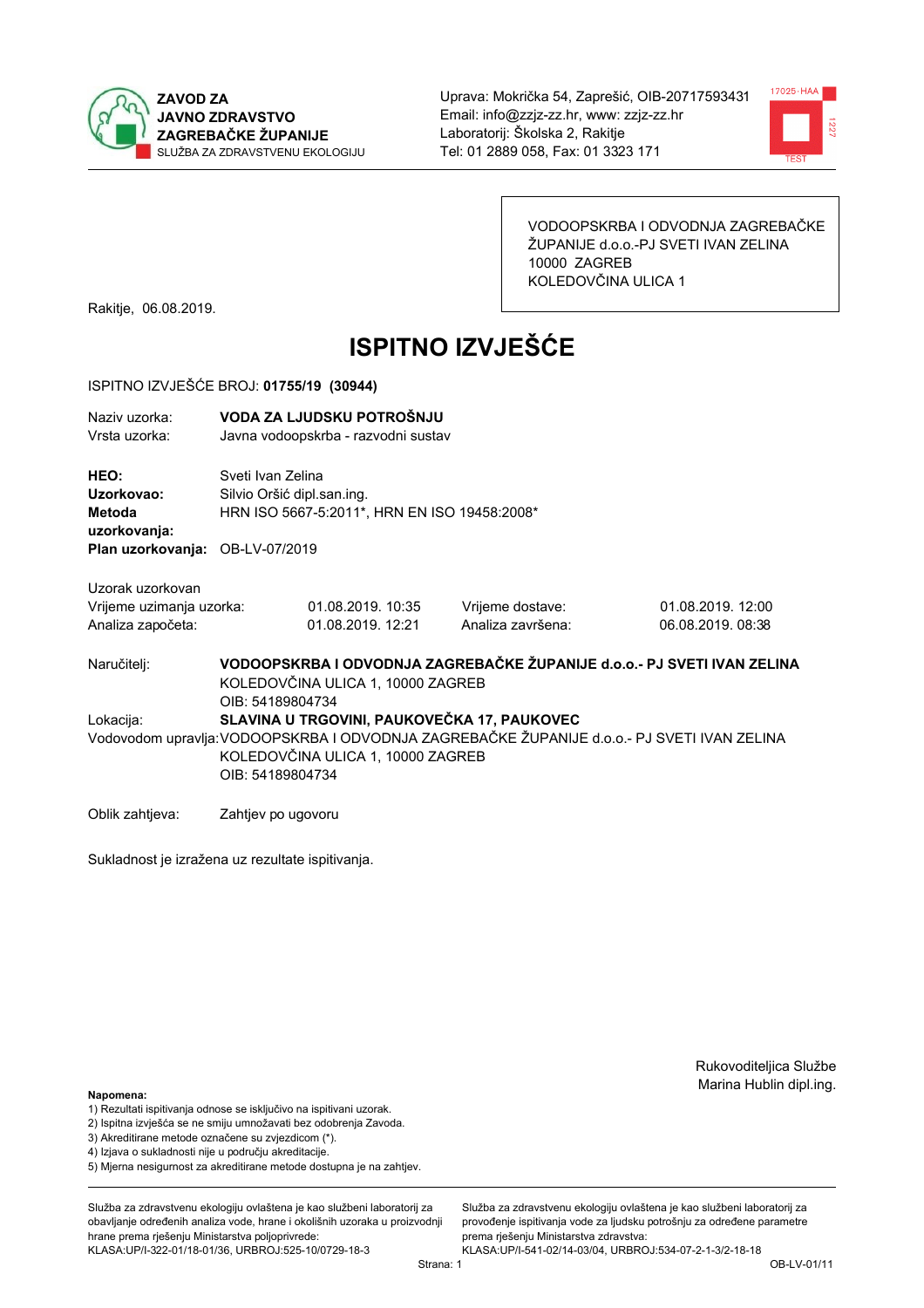



VODOOPSKRBA I ODVODNJA ZAGREBAČKE ŽUPANIJE d.o.o.-PJ SVETI IVAN ZELINA 10000 ZAGREB KOLEDOVČINA ULICA 1

Rakitje, 06.08.2019.

# **ISPITNO IZVJEŠĆE**

### ISPITNO IZVJEŠĆE BROJ: 01755/19 (30944)

| Naziv uzorka:<br>Vrsta uzorka:                                    |                    | VODA ZA LJUDSKU POTROŠNJU<br>Javna vodoopskrba - razvodni sustav                                             |                   |                                                                                             |  |  |
|-------------------------------------------------------------------|--------------------|--------------------------------------------------------------------------------------------------------------|-------------------|---------------------------------------------------------------------------------------------|--|--|
| HEO:<br>Uzorkovao:<br>Metoda<br>uzorkovanja:<br>Plan uzorkovanja: | OB-LV-07/2019      | Sveti Ivan Zelina<br>Silvio Oršić dipl.san.ing.<br>HRN ISO 5667-5:2011*, HRN EN ISO 19458:2008*              |                   |                                                                                             |  |  |
|                                                                   |                    |                                                                                                              |                   |                                                                                             |  |  |
| Uzorak uzorkovan                                                  |                    |                                                                                                              |                   |                                                                                             |  |  |
| Vrijeme uzimanja uzorka:                                          |                    | 01.08.2019. 10:35                                                                                            | Vrijeme dostave:  | 01.08.2019. 12:00                                                                           |  |  |
| Analiza započeta:                                                 |                    | 01.08.2019. 12:21                                                                                            | Analiza završena: | 06.08.2019.08:38                                                                            |  |  |
| Naručitelj:                                                       | OIB: 54189804734   | VODOOPSKRBA I ODVODNJA ZAGREBAČKE ŽUPANIJE d.o.o.- PJ SVETI IVAN ZELINA<br>KOLEDOVČINA ULICA 1, 10000 ZAGREB |                   |                                                                                             |  |  |
| Lokacija:                                                         |                    | SLAVINA U TRGOVINI, PAUKOVEČKA 17, PAUKOVEC                                                                  |                   |                                                                                             |  |  |
|                                                                   | OIB: 54189804734   | KOLEDOVČINA ULICA 1, 10000 ZAGREB                                                                            |                   | Vodovodom upravlja: VODOOPSKRBA I ODVODNJA ZAGREBAČKE ŽUPANIJE d.o.o.- PJ SVETI IVAN ZELINA |  |  |
| Oblik zahtjeva:                                                   | Zahtjev po ugovoru |                                                                                                              |                   |                                                                                             |  |  |

Sukladnost je izražena uz rezultate ispitivanja.

Rukovoditeljica Službe Marina Hublin dipl.ing.

#### Napomena:

- 1) Rezultati ispitivanja odnose se isključivo na ispitivani uzorak.
- 2) Ispitna izvješća se ne smiju umnožavati bez odobrenja Zavoda.

3) Akreditirane metode označene su zvjezdicom (\*).

- 4) Iziava o sukladnosti nije u područiu akreditacije.
- 5) Mjerna nesigurnost za akreditirane metode dostupna je na zahtjev.

Služba za zdravstvenu ekologiju ovlaštena je kao službeni laboratorij za obavljanje određenih analiza vode, hrane i okolišnih uzoraka u proizvodniji hrane prema rješenju Ministarstva poljoprivrede: KLASA:UP/I-322-01/18-01/36, URBROJ:525-10/0729-18-3

KLASA:UP/I-541-02/14-03/04, URBROJ:534-07-2-1-3/2-18-18 OB-LV-01/11

Služba za zdravstvenu ekologiju ovlaštena je kao službeni laboratorij za provođenje ispitivanja vode za ljudsku potrošnju za određene parametre

prema rješenju Ministarstva zdravstva: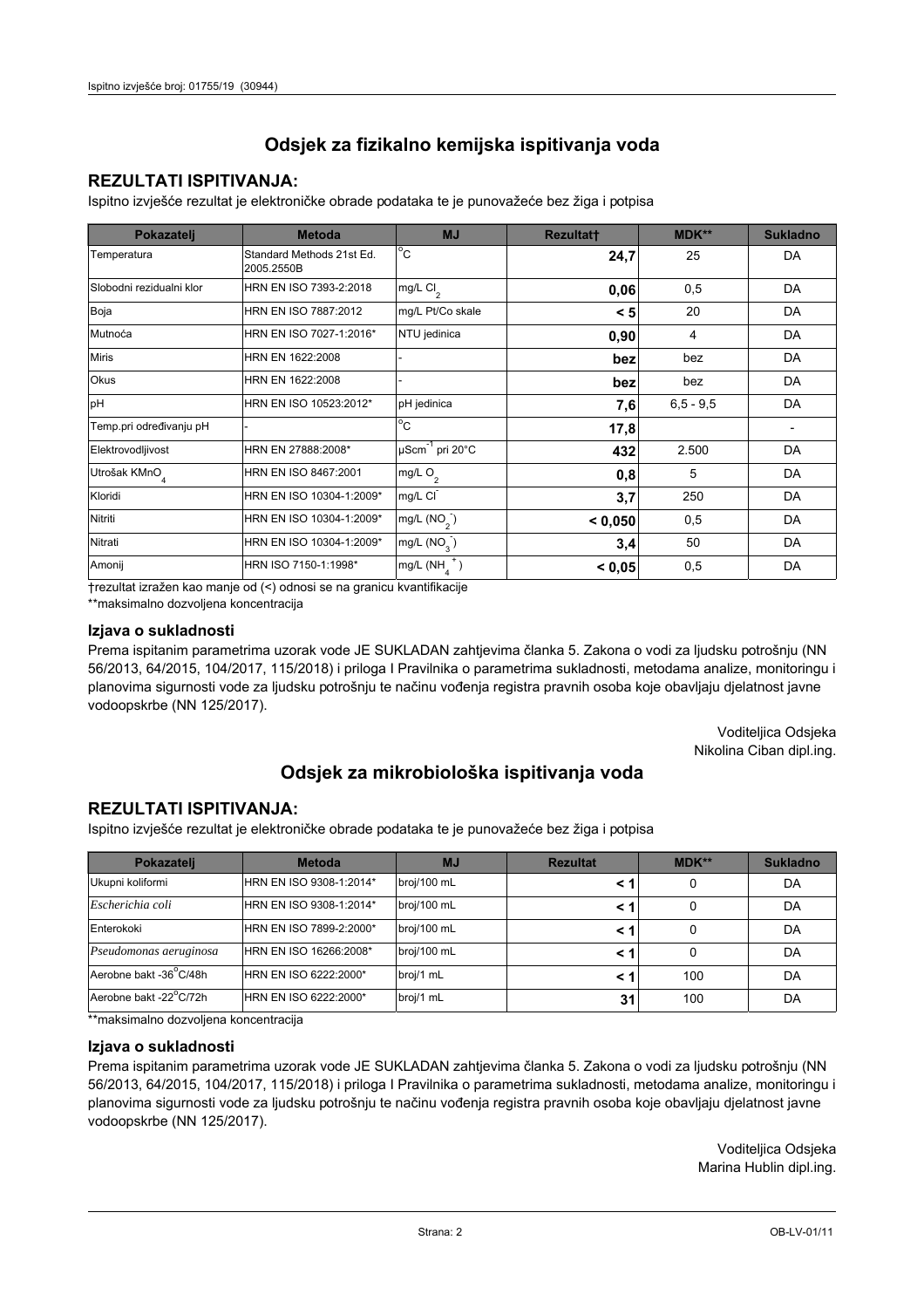## **REZULTATI ISPITIVANJA:**

Ispitno izviešće rezultat je elektroničke obrade podataka te je punovažeće bez žiga i potpisa

| Pokazatelj                | <b>Metoda</b>                           | <b>MJ</b>               | <b>Rezultatt</b> | MDK**         | <b>Sukladno</b> |
|---------------------------|-----------------------------------------|-------------------------|------------------|---------------|-----------------|
| Temperatura               | Standard Methods 21st Ed.<br>2005.2550B | $^{\circ}$ C            | 24,7             | 25            | DA              |
| Slobodni rezidualni klor  | HRN EN ISO 7393-2:2018                  | mg/L $Cl2$              | 0,06             | 0,5           | DA              |
| Boja                      | HRN EN ISO 7887:2012                    | mg/L Pt/Co skale        | < 5              | 20            | DA              |
| Mutnoća                   | HRN EN ISO 7027-1:2016*                 | NTU jedinica            | 0,90             | 4             | DA              |
| <b>Miris</b>              | HRN EN 1622:2008                        |                         | bez              | bez           | DA              |
| Okus                      | HRN EN 1622:2008                        |                         | bez              | bez           | DA              |
| pH                        | HRN EN ISO 10523:2012*                  | pH jedinica             | 7,6              | $6, 5 - 9, 5$ | DA              |
| Temp.pri određivanju pH   |                                         | $^{\circ}$ C            | 17,8             |               |                 |
| Elektrovodljivost         | HRN EN 27888:2008*                      | µScm-1 pri 20°C         | 432              | 2.500         | DA              |
| Utrošak KMnO <sub>4</sub> | HRN EN ISO 8467:2001                    | mg/L $O2$               | 0,8              | 5             | DA              |
| Kloridi                   | HRN EN ISO 10304-1:2009*                | mg/L CI                 | 3,7              | 250           | DA              |
| Nitriti                   | HRN EN ISO 10304-1:2009*                | mg/L $(NO2)$            | < 0.050          | 0,5           | DA              |
| Nitrati                   | HRN EN ISO 10304-1:2009*                | mg/L (NO <sub>3</sub> ) | 3,4              | 50            | DA              |
| Amonij                    | HRN ISO 7150-1:1998*                    | mg/L (NH                | < 0,05           | 0,5           | DA              |

trezultat izražen kao manje od (<) odnosi se na granicu kvantifikacije

\*\*maksimalno dozvoljena koncentracija

## Izjava o sukladnosti

Prema ispitanim parametrima uzorak vode JE SUKLADAN zahtievima članka 5. Zakona o vodi za ljudsku potrošnju (NN 56/2013, 64/2015, 104/2017, 115/2018) i priloga I Pravilnika o parametrima sukladnosti, metodama analize, monitoringu i planovima sigurnosti vode za ljudsku potrošnju te načinu vođenja registra pravnih osoba koje obavljaju djelatnost javne vodoopskrbe (NN 125/2017).

> Voditeljica Odsjeka Nikolina Ciban dipl.ing.

## Odsjek za mikrobiološka ispitivanja voda

## **REZULTATI ISPITIVANJA:**

Ispitno izvješće rezultat je elektroničke obrade podataka te je punovažeće bez žiga i potpisa

| Pokazatelj             | <b>Metoda</b>           | <b>MJ</b>   | <b>Rezultat</b> | <b>MDK**</b> | <b>Sukladno</b> |
|------------------------|-------------------------|-------------|-----------------|--------------|-----------------|
| Ukupni koliformi       | HRN EN ISO 9308-1:2014* | broj/100 mL |                 |              | DA              |
| Escherichia coli       | HRN EN ISO 9308-1:2014* | broj/100 mL | < 1             |              | DA              |
| Enterokoki             | HRN EN ISO 7899-2:2000* | broj/100 mL | < '             |              | DA              |
| Pseudomonas aeruginosa | HRN EN ISO 16266:2008*  | broj/100 mL | < 1             | 0            | DA              |
| Aerobne bakt -36 C/48h | HRN EN ISO 6222:2000*   | broj/1 mL   |                 | 100          | DA              |
| Aerobne bakt -22°C/72h | HRN EN ISO 6222:2000*   | broj/1 mL   | 31              | 100          | DA              |

\*\*maksimalno dozvoljena koncentracija

#### Izjava o sukladnosti

Prema ispitanim parametrima uzorak vode JE SUKLADAN zahtjevima članka 5. Zakona o vodi za ljudsku potrošnju (NN 56/2013, 64/2015, 104/2017, 115/2018) i priloga I Pravilnika o parametrima sukladnosti, metodama analize, monitoringu i planovima sigurnosti vode za ljudsku potrošnju te načinu vođenja registra pravnih osoba koje obavljaju djelatnost javne vodoopskrbe (NN 125/2017).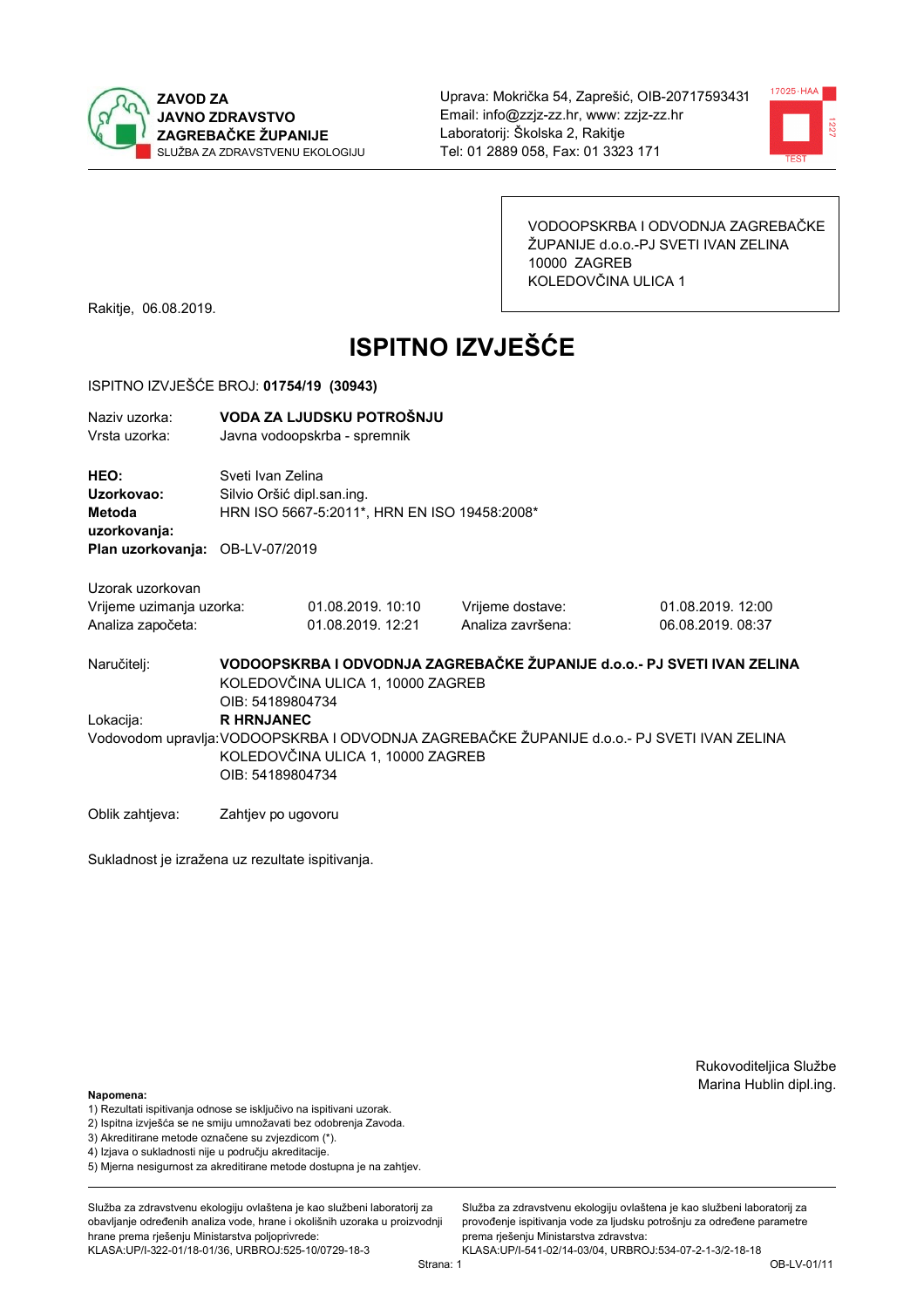



VODOOPSKRBA I ODVODNJA ZAGREBAČKE ŽUPANIJE d.o.o.-PJ SVETI IVAN ZELINA 10000 ZAGREB KOLEDOVČINA ULICA 1

Rakitje, 06.08.2019.

# **ISPITNO IZVJEŠĆE**

#### ISPITNO IZVJEŠĆE BROJ: 01754/19 (30943)

| Naziv uzorka: | VODA ZA LJUDSKU POTROŠNJU    |
|---------------|------------------------------|
| Vrsta uzorka: | Javna vodoopskrba - spremnik |

HEO: Sveti Ivan Zelina Uzorkovao: Silvio Oršić dipl.san.ing. Metoda HRN ISO 5667-5:2011\*, HRN EN ISO 19458:2008\* uzorkovanja: Plan uzorkovanja: OB-LV-07/2019

Uzorak uzorkovan

| Vrijeme uzimanja uzorka: | 01.08.2019. 10:10 | Vrijeme dostave:  | 01.08.2019. |
|--------------------------|-------------------|-------------------|-------------|
| Analiza započeta:        | 01.08.2019. 12:21 | Analiza završena: | 06.08.2019. |

Naručitelj:

Lokacija:

VODOOPSKRBA I ODVODNJA ZAGREBAČKE ŽUPANIJE d.o.o. - PJ SVETI IVAN ZELINA KOLEDOVČINA ULICA 1, 10000 ZAGREB OIB: 54189804734 **R HRNJANEC** Vodovodom upravlja: VODOOPSKRBA I ODVODNJA ZAGREBAČKE ŽUPANIJE d.o.o.- PJ SVETI IVAN ZELINA KOLEDOVČINA ULICA 1, 10000 ZAGREB

OIB: 54189804734

Oblik zahtjeva: Zahtjev po ugovoru

Sukladnost je izražena uz rezultate ispitivanja.

Rukovoditeljica Službe Marina Hublin dipl.ing.

 $12:00$  $08:37$ 

#### Napomena:

- 1) Rezultati ispitivanja odnose se isključivo na ispitivani uzorak.
- 2) Ispitna izvješća se ne smiju umnožavati bez odobrenja Zavoda.

3) Akreditirane metode označene su zvjezdicom (\*).

- 4) Iziava o sukladnosti nije u području akreditacije.
- 5) Mjerna nesigurnost za akreditirane metode dostupna je na zahtjev.

Služba za zdravstvenu ekologiju ovlaštena je kao službeni laboratorij za obavlianie određenih analiza vode, hrane i okolišnih uzoraka u proizvodniji hrane prema rješenju Ministarstva poljoprivrede: KLASA:UP/I-322-01/18-01/36, URBROJ:525-10/0729-18-3

Služba za zdravstvenu ekologiju ovlaštena je kao službeni laboratorij za provođenie ispitivania vode za liudsku potrošniu za određene parametre prema riešenju Ministarstva zdravstva:

KLASA:UP/I-541-02/14-03/04, URBROJ:534-07-2-1-3/2-18-18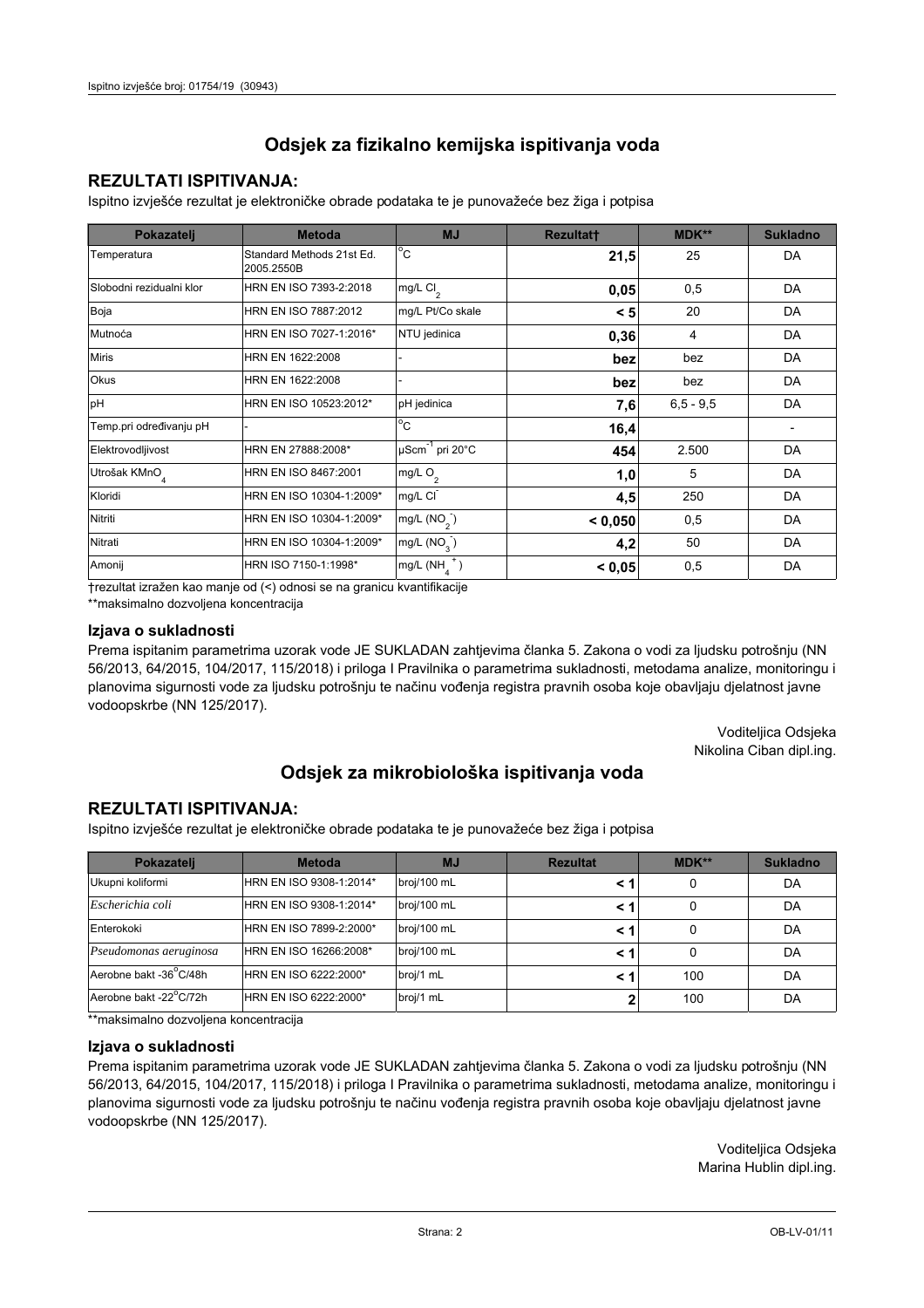## **REZULTATI ISPITIVANJA:**

Ispitno izviešće rezultat je elektroničke obrade podataka te je punovažeće bez žiga i potpisa

| Pokazatelj                | <b>Metoda</b>                           | <b>MJ</b>               | <b>Rezultatt</b> | MDK**         | <b>Sukladno</b> |
|---------------------------|-----------------------------------------|-------------------------|------------------|---------------|-----------------|
| Temperatura               | Standard Methods 21st Ed.<br>2005.2550B | $^{\circ}$ C            | 21,5             | 25            | DA              |
| Slobodni rezidualni klor  | HRN EN ISO 7393-2:2018                  | mg/L $Cl2$              | 0,05             | 0,5           | DA              |
| Boja                      | HRN EN ISO 7887:2012                    | mg/L Pt/Co skale        | < 5              | 20            | DA              |
| Mutnoća                   | HRN EN ISO 7027-1:2016*                 | NTU jedinica            | 0,36             | 4             | DA              |
| <b>Miris</b>              | HRN EN 1622:2008                        |                         | bez              | bez           | DA              |
| Okus                      | HRN EN 1622:2008                        |                         | bez              | bez           | DA              |
| pH                        | HRN EN ISO 10523:2012*                  | pH jedinica             | 7,6              | $6, 5 - 9, 5$ | DA              |
| Temp.pri određivanju pH   |                                         | $^{\circ}$ C            | 16,4             |               |                 |
| Elektrovodljivost         | HRN EN 27888:2008*                      | µScm-1 pri 20°C         | 454              | 2.500         | DA              |
| Utrošak KMnO <sub>4</sub> | HRN EN ISO 8467:2001                    | mg/L O <sub>2</sub>     | 1,0              | 5             | DA              |
| Kloridi                   | HRN EN ISO 10304-1:2009*                | mg/L CI                 | 4,5              | 250           | DA              |
| Nitriti                   | HRN EN ISO 10304-1:2009*                | mg/L (NO <sub>2</sub> ) | < 0.050          | 0,5           | DA              |
| Nitrati                   | HRN EN ISO 10304-1:2009*                | mg/L (NO <sub>3</sub> ) | 4,2              | 50            | DA              |
| Amonij                    | HRN ISO 7150-1:1998*                    | mg/L (NH                | < 0,05           | 0,5           | DA              |

trezultat izražen kao manje od (<) odnosi se na granicu kvantifikacije

\*\*maksimalno dozvoljena koncentracija

## Izjava o sukladnosti

Prema ispitanim parametrima uzorak vode JE SUKLADAN zahtievima članka 5. Zakona o vodi za ljudsku potrošnju (NN 56/2013, 64/2015, 104/2017, 115/2018) i priloga I Pravilnika o parametrima sukladnosti, metodama analize, monitoringu i planovima sigurnosti vode za ljudsku potrošnju te načinu vođenja registra pravnih osoba koje obavljaju djelatnost javne vodoopskrbe (NN 125/2017).

> Voditeljica Odsjeka Nikolina Ciban dipl.ing.

## Odsjek za mikrobiološka ispitivanja voda

## **REZULTATI ISPITIVANJA:**

Ispitno izvješće rezultat je elektroničke obrade podataka te je punovažeće bez žiga i potpisa

| Pokazatelj             | <b>Metoda</b>           | <b>MJ</b>   | <b>Rezultat</b> | <b>MDK**</b> | <b>Sukladno</b> |
|------------------------|-------------------------|-------------|-----------------|--------------|-----------------|
| Ukupni koliformi       | HRN EN ISO 9308-1:2014* | broj/100 mL |                 |              | DA              |
| Escherichia coli       | HRN EN ISO 9308-1:2014* | broj/100 mL | < 1             |              | DA              |
| Enterokoki             | HRN EN ISO 7899-2:2000* | broj/100 mL | < '             |              | DA              |
| Pseudomonas aeruginosa | HRN EN ISO 16266:2008*  | broj/100 mL | < 1             | 0            | DA              |
| Aerobne bakt -36 C/48h | HRN EN ISO 6222:2000*   | broj/1 mL   |                 | 100          | DA              |
| Aerobne bakt -22°C/72h | HRN EN ISO 6222:2000*   | broj/1 mL   |                 | 100          | DA              |

\*\*maksimalno dozvoljena koncentracija

## Izjava o sukladnosti

Prema ispitanim parametrima uzorak vode JE SUKLADAN zahtjevima članka 5. Zakona o vodi za ljudsku potrošnju (NN 56/2013, 64/2015, 104/2017, 115/2018) i priloga I Pravilnika o parametrima sukladnosti, metodama analize, monitoringu i planovima sigurnosti vode za ljudsku potrošnju te načinu vođenja registra pravnih osoba koje obavljaju djelatnost javne vodoopskrbe (NN 125/2017).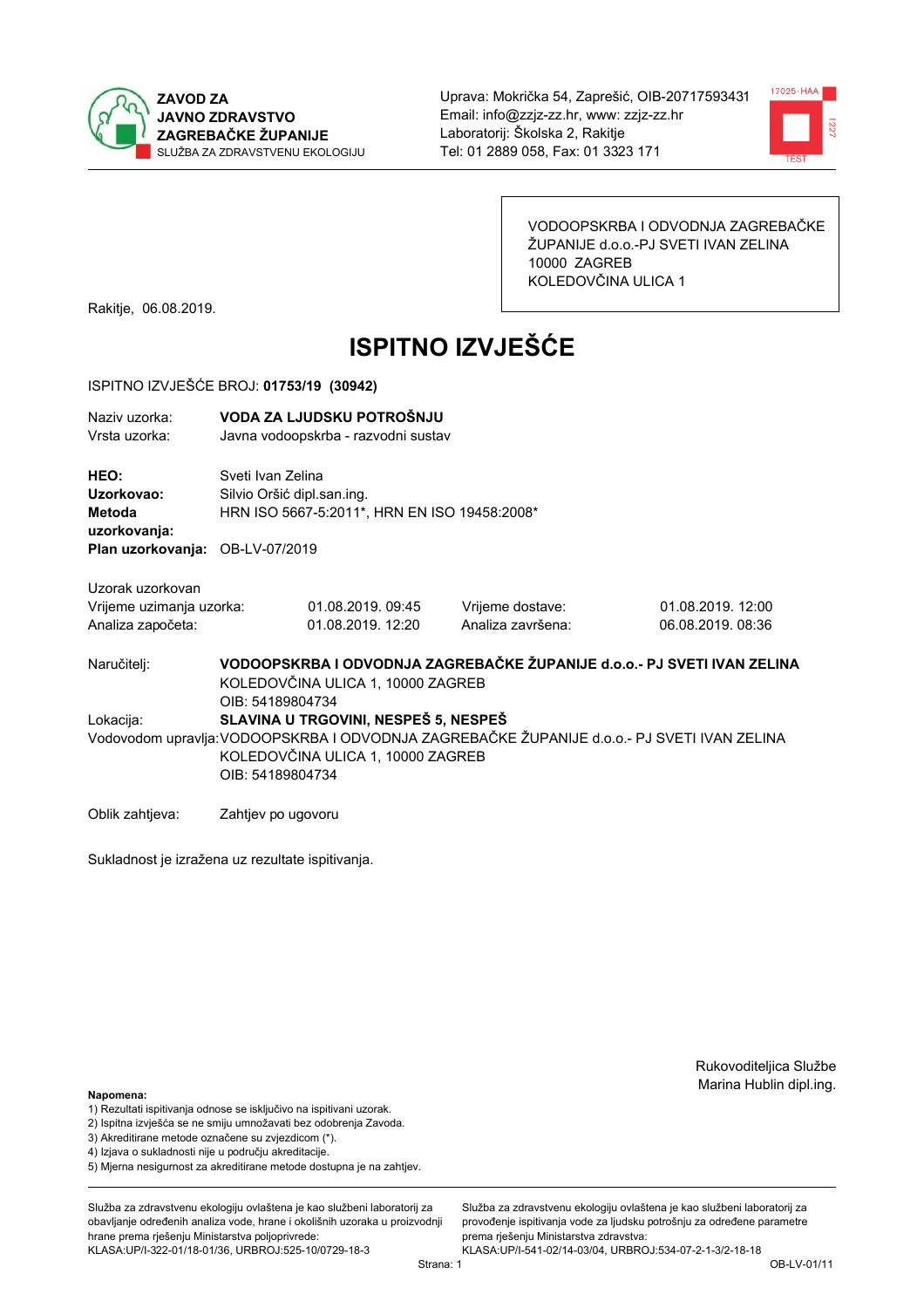



VODOOPSKRBA I ODVODNJA ZAGREBAČKE ŽUPANIJE d.o.o.-PJ SVETI IVAN ZELINA 10000 ZAGREB KOLEDOVČINA ULICA 1

Rakitje, 06.08.2019.

# **ISPITNO IZVJEŠĆE**

### ISPITNO IZVJEŠĆE BROJ: 01753/19 (30942)

| Naziy uzorka:<br>Vrsta uzorka:                  |                    | VODA ZA LJUDSKU POTROŠNJU<br>Javna vodoopskrba - razvodni sustav                                             |                   |                                                                                             |  |  |
|-------------------------------------------------|--------------------|--------------------------------------------------------------------------------------------------------------|-------------------|---------------------------------------------------------------------------------------------|--|--|
| HEO:<br>Uzorkovao:<br><b>Metoda</b>             |                    | Sveti Ivan Zelina<br>Silvio Oršić dipl.san.ing.<br>HRN ISO 5667-5:2011*, HRN EN ISO 19458:2008*              |                   |                                                                                             |  |  |
| uzorkovanja:<br>Plan uzorkovanja: OB-LV-07/2019 |                    |                                                                                                              |                   |                                                                                             |  |  |
| Uzorak uzorkovan                                |                    |                                                                                                              |                   |                                                                                             |  |  |
| Vrijeme uzimanja uzorka:                        |                    | 01.08.2019.09:45                                                                                             | Vrijeme dostave:  | 01.08.2019. 12:00                                                                           |  |  |
| Analiza započeta:                               |                    | 01.08.2019. 12:20                                                                                            | Analiza završena: | 06.08.2019.08:36                                                                            |  |  |
| Naručitelj:                                     | OIB: 54189804734   | VODOOPSKRBA I ODVODNJA ZAGREBAČKE ŽUPANIJE d.o.o.- PJ SVETI IVAN ZELINA<br>KOLEDOVČINA ULICA 1, 10000 ZAGREB |                   |                                                                                             |  |  |
| Lokacija:                                       |                    | SLAVINA U TRGOVINI, NESPEŠ 5, NESPEŠ                                                                         |                   |                                                                                             |  |  |
|                                                 | OIB: 54189804734   | KOLEDOVČINA ULICA 1, 10000 ZAGREB                                                                            |                   | Vodovodom upravlja: VODOOPSKRBA I ODVODNJA ZAGREBAČKE ŽUPANIJE d.o.o.- PJ SVETI IVAN ZELINA |  |  |
| Oblik zahtjeva:                                 | Zahtjev po ugovoru |                                                                                                              |                   |                                                                                             |  |  |

Sukladnost je izražena uz rezultate ispitivanja.

Rukovoditeljica Službe Marina Hublin dipl.ing.

## Napomena:

- 1) Rezultati ispitivanja odnose se isključivo na ispitivani uzorak.
- 2) Ispitna izvješća se ne smiju umnožavati bez odobrenja Zavoda.

3) Akreditirane metode označene su zvjezdicom (\*).

- 4) Iziava o sukladnosti nije u područiu akreditacije.
- 5) Mjerna nesigurnost za akreditirane metode dostupna je na zahtjev.

Služba za zdravstvenu ekologiju ovlaštena je kao službeni laboratorij za obavlianie određenih analiza vode, hrane i okolišnih uzoraka u proizvodniji hrane prema rješenju Ministarstva poljoprivrede: KLASA:UP/I-322-01/18-01/36, URBROJ:525-10/0729-18-3

Služba za zdravstvenu ekologiju ovlaštena je kao službeni laboratorij za provođenje ispitivanja vode za ljudsku potrošnju za određene parametre prema rješenju Ministarstva zdravstva:

KLASA:UP/I-541-02/14-03/04, URBROJ:534-07-2-1-3/2-18-18 Strana: 1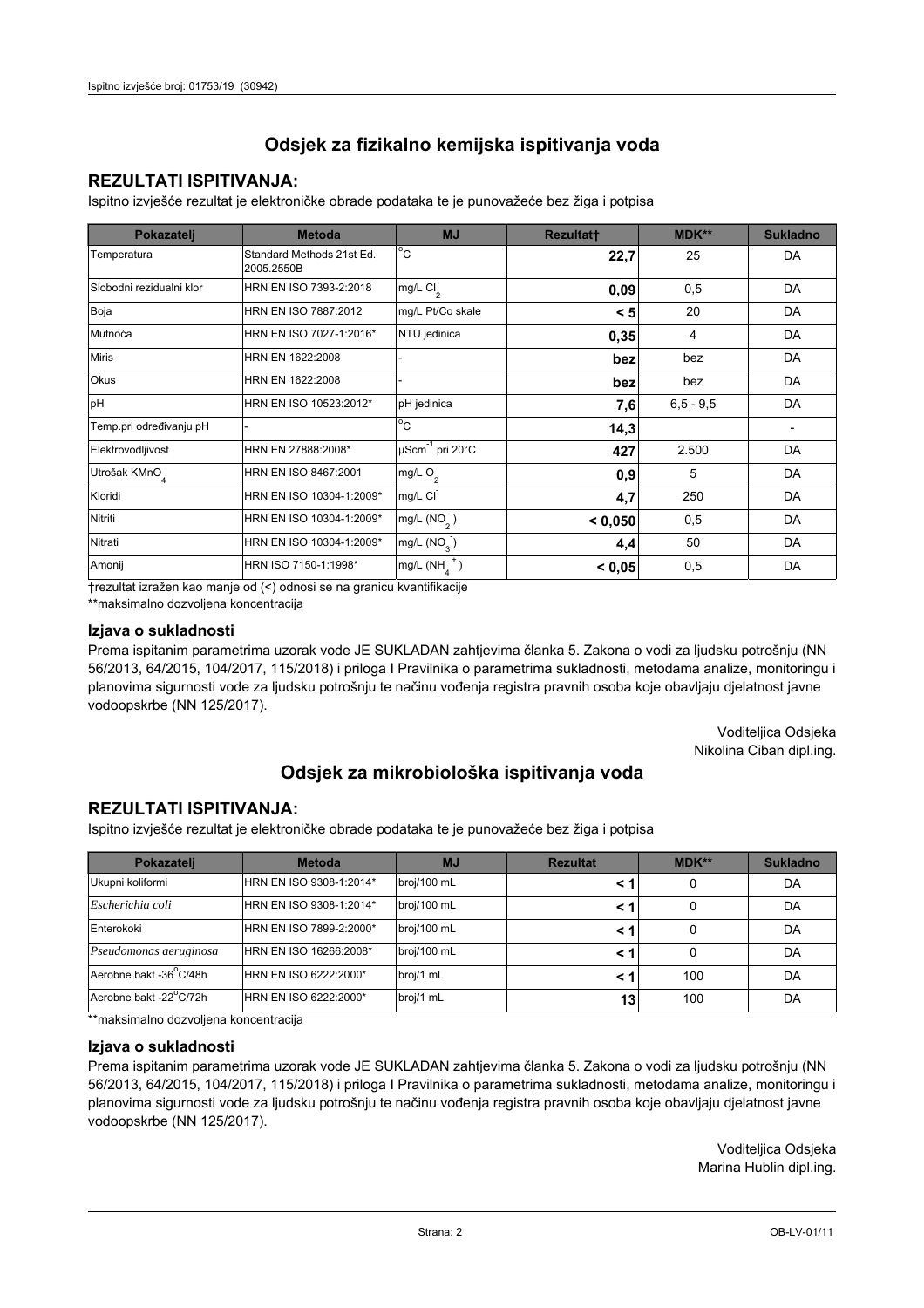## **REZULTATI ISPITIVANJA:**

Ispitno izviešće rezultat je elektroničke obrade podataka te je punovažeće bez žiga i potpisa

| Pokazatelj                | <b>Metoda</b>                           | <b>MJ</b>               | <b>Rezultatt</b> | MDK**         | <b>Sukladno</b> |
|---------------------------|-----------------------------------------|-------------------------|------------------|---------------|-----------------|
| Temperatura               | Standard Methods 21st Ed.<br>2005.2550B | $^{\circ}$ C            | 22,7             | 25            | DA              |
| Slobodni rezidualni klor  | HRN EN ISO 7393-2:2018                  | mg/L $Cl2$              | 0,09             | 0,5           | DA              |
| Boja                      | HRN EN ISO 7887:2012                    | mg/L Pt/Co skale        | < 5              | 20            | DA              |
| Mutnoća                   | HRN EN ISO 7027-1:2016*                 | NTU jedinica            | 0,35             | 4             | DA              |
| <b>Miris</b>              | HRN EN 1622:2008                        |                         | bez              | bez           | DA              |
| Okus                      | HRN EN 1622:2008                        |                         | bez              | bez           | DA              |
| pH                        | HRN EN ISO 10523:2012*                  | pH jedinica             | 7,6              | $6, 5 - 9, 5$ | DA              |
| Temp.pri određivanju pH   |                                         | $^{\circ}$ C            | 14,3             |               |                 |
| Elektrovodljivost         | HRN EN 27888:2008*                      | µScm-1 pri 20°C         | 427              | 2.500         | DA              |
| Utrošak KMnO <sub>4</sub> | HRN EN ISO 8467:2001                    | mg/L $O2$               | 0,9              | 5             | DA              |
| Kloridi                   | HRN EN ISO 10304-1:2009*                | mg/L CI                 | 4,7              | 250           | DA              |
| Nitriti                   | HRN EN ISO 10304-1:2009*                | mg/L $(NO2)$            | < 0.050          | 0,5           | DA              |
| Nitrati                   | HRN EN ISO 10304-1:2009*                | mg/L (NO <sub>3</sub> ) | 4,4              | 50            | DA              |
| Amonij                    | HRN ISO 7150-1:1998*                    | mg/L (NH                | < 0,05           | 0,5           | DA              |

trezultat izražen kao manje od (<) odnosi se na granicu kvantifikacije

\*\*maksimalno dozvoljena koncentracija

## Izjava o sukladnosti

Prema ispitanim parametrima uzorak vode JE SUKLADAN zahtievima članka 5. Zakona o vodi za ljudsku potrošnju (NN 56/2013, 64/2015, 104/2017, 115/2018) i priloga I Pravilnika o parametrima sukladnosti, metodama analize, monitoringu i planovima sigurnosti vode za ljudsku potrošnju te načinu vođenja registra pravnih osoba koje obavljaju djelatnost javne vodoopskrbe (NN 125/2017).

> Voditeljica Odsjeka Nikolina Ciban dipl.ing.

## Odsjek za mikrobiološka ispitivanja voda

## **REZULTATI ISPITIVANJA:**

Ispitno izvješće rezultat je elektroničke obrade podataka te je punovažeće bez žiga i potpisa

| Pokazatelj             | <b>Metoda</b>           | <b>MJ</b>   | <b>Rezultat</b> | <b>MDK**</b> | <b>Sukladno</b> |
|------------------------|-------------------------|-------------|-----------------|--------------|-----------------|
| Ukupni koliformi       | HRN EN ISO 9308-1:2014* | broj/100 mL |                 |              | DA              |
| Escherichia coli       | HRN EN ISO 9308-1:2014* | broj/100 mL | <1              |              | DA              |
| Enterokoki             | HRN EN ISO 7899-2:2000* | broj/100 mL | < 1             |              | DA              |
| Pseudomonas aeruginosa | HRN EN ISO 16266:2008*  | broj/100 mL | < 1             | 0            | DA              |
| Aerobne bakt -36 C/48h | HRN EN ISO 6222:2000*   | broj/1 mL   | < 1             | 100          | DA              |
| Aerobne bakt -22°C/72h | HRN EN ISO 6222:2000*   | broj/1 mL   | 13              | 100          | DA              |

\*\*maksimalno dozvoljena koncentracija

## Izjava o sukladnosti

Prema ispitanim parametrima uzorak vode JE SUKLADAN zahtjevima članka 5. Zakona o vodi za ljudsku potrošnju (NN 56/2013, 64/2015, 104/2017, 115/2018) i priloga I Pravilnika o parametrima sukladnosti, metodama analize, monitoringu i planovima sigurnosti vode za ljudsku potrošnju te načinu vođenja registra pravnih osoba koje obavljaju djelatnost javne vodoopskrbe (NN 125/2017).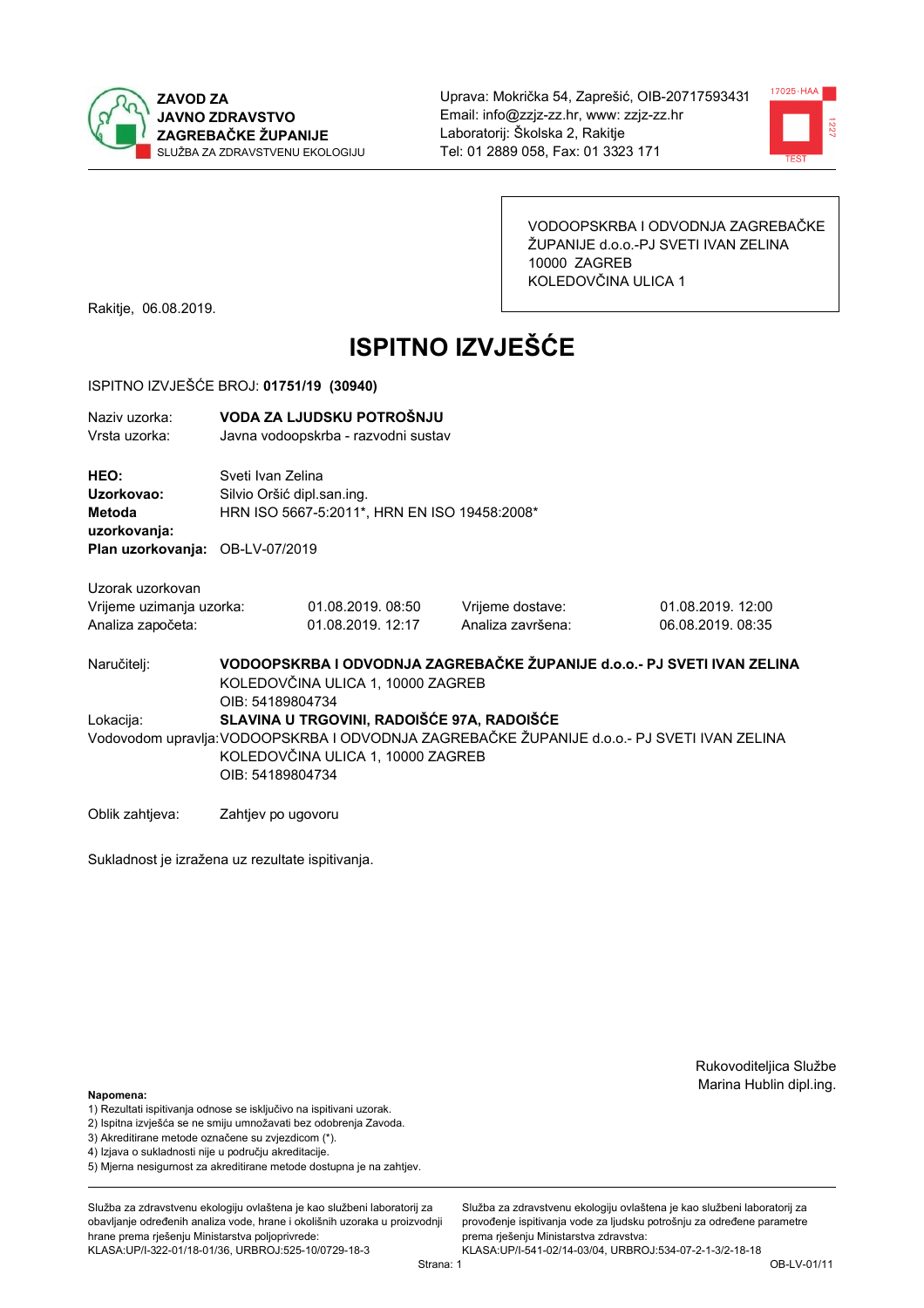



VODOOPSKRBA I ODVODNJA ZAGREBAČKE ŽUPANIJE d.o.o.-PJ SVETI IVAN ZELINA 10000 ZAGREB KOLEDOVČINA ULICA 1

Rakitje, 06.08.2019.

# **ISPITNO IZVJEŠĆE**

### ISPITNO IZVJEŠĆE BROJ: 01751/19 (30940)

| Naziv uzorka:<br>Vrsta uzorka:                                                  |                    | VODA ZA LJUDSKU POTROŠNJU<br>Javna vodoopskrba - razvodni sustav                                             |                   |                                                                                             |  |  |
|---------------------------------------------------------------------------------|--------------------|--------------------------------------------------------------------------------------------------------------|-------------------|---------------------------------------------------------------------------------------------|--|--|
| HEO:<br>Uzorkovao:<br>Metoda<br>uzorkovanja:<br>Plan uzorkovanja: OB-LV-07/2019 |                    | Sveti Ivan Zelina<br>Silvio Oršić dipl.san.ing.<br>HRN ISO 5667-5:2011*, HRN EN ISO 19458:2008*              |                   |                                                                                             |  |  |
|                                                                                 |                    |                                                                                                              |                   |                                                                                             |  |  |
| Uzorak uzorkovan                                                                |                    |                                                                                                              |                   |                                                                                             |  |  |
| Vrijeme uzimanja uzorka:                                                        |                    | 01.08.2019.08:50                                                                                             | Vrijeme dostave:  | 01.08.2019. 12:00                                                                           |  |  |
| Analiza započeta:                                                               |                    | 01.08.2019. 12:17                                                                                            | Analiza završena: | 06.08.2019. 08:35                                                                           |  |  |
| Naručitelj:                                                                     | OIB: 54189804734   | VODOOPSKRBA I ODVODNJA ZAGREBAČKE ŽUPANIJE d.o.o.- PJ SVETI IVAN ZELINA<br>KOLEDOVČINA ULICA 1, 10000 ZAGREB |                   |                                                                                             |  |  |
| Lokacija:                                                                       |                    | SLAVINA U TRGOVINI, RADOIŠĆE 97A, RADOIŠĆE                                                                   |                   |                                                                                             |  |  |
|                                                                                 | OIB: 54189804734   | KOLEDOVČINA ULICA 1, 10000 ZAGREB                                                                            |                   | Vodovodom upravlja: VODOOPSKRBA I ODVODNJA ZAGREBAČKE ŽUPANIJE d.o.o.- PJ SVETI IVAN ZELINA |  |  |
| Oblik zahtjeva:                                                                 | Zahtjev po ugovoru |                                                                                                              |                   |                                                                                             |  |  |

Sukladnost je izražena uz rezultate ispitivanja.

Rukovoditeljica Službe Marina Hublin dipl.ing.

Služba za zdravstvenu ekologiju ovlaštena je kao službeni laboratorij za provođenje ispitivanja vode za ljudsku potrošnju za određene parametre

prema rješenju Ministarstva zdravstva:

#### Napomena:

- 1) Rezultati ispitivanja odnose se isključivo na ispitivani uzorak.
- 2) Ispitna izvješća se ne smiju umnožavati bez odobrenja Zavoda.

3) Akreditirane metode označene su zvjezdicom (\*).

- 4) Iziava o sukladnosti nije u područiu akreditacije.
- 5) Mjerna nesigurnost za akreditirane metode dostupna je na zahtjev.

Služba za zdravstvenu ekologiju ovlaštena je kao službeni laboratorij za obavljanje određenih analiza vode, hrane i okolišnih uzoraka u proizvodniji hrane prema rješenju Ministarstva poljoprivrede: KLASA:UP/I-322-01/18-01/36, URBROJ:525-10/0729-18-3

KLASA:UP/I-541-02/14-03/04, URBROJ:534-07-2-1-3/2-18-18 Strana: 1

OB-LV-01/11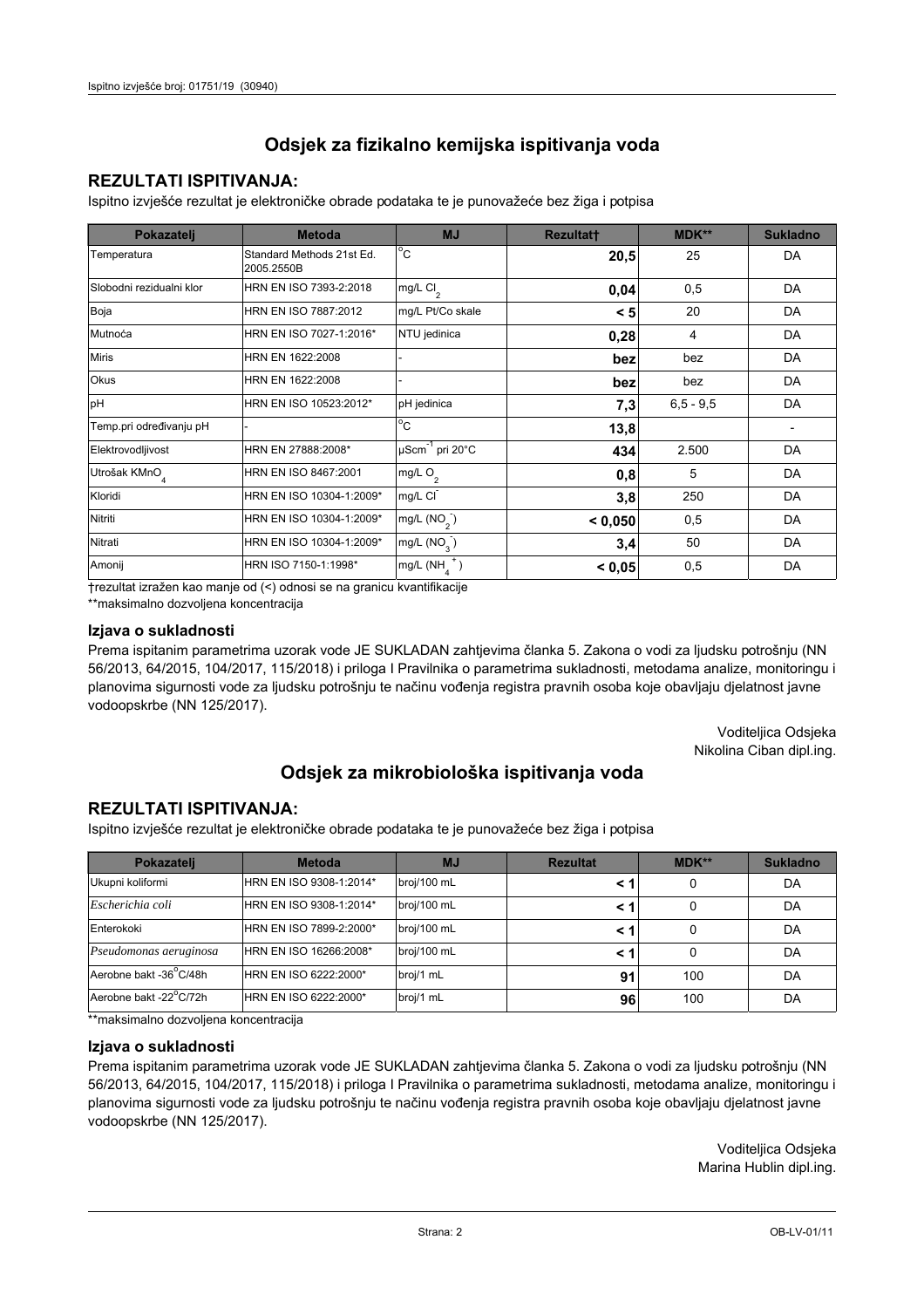## **REZULTATI ISPITIVANJA:**

Ispitno izviešće rezultat je elektroničke obrade podataka te je punovažeće bez žiga i potpisa

| Pokazatelj                | <b>Metoda</b>                           | <b>MJ</b>               | <b>Rezultatt</b> | MDK**         | <b>Sukladno</b> |
|---------------------------|-----------------------------------------|-------------------------|------------------|---------------|-----------------|
| Temperatura               | Standard Methods 21st Ed.<br>2005.2550B | $^{\circ}$ C            | 20,5             | 25            | DA              |
| Slobodni rezidualni klor  | HRN EN ISO 7393-2:2018                  | mg/L $Cl2$              | 0,04             | 0,5           | DA              |
| Boja                      | HRN EN ISO 7887:2012                    | mg/L Pt/Co skale        | < 5              | 20            | DA              |
| Mutnoća                   | HRN EN ISO 7027-1:2016*                 | NTU jedinica            | 0,28             | 4             | DA              |
| <b>Miris</b>              | HRN EN 1622:2008                        |                         | bez              | bez           | DA              |
| Okus                      | HRN EN 1622:2008                        |                         | bez              | bez           | DA              |
| pH                        | HRN EN ISO 10523:2012*                  | pH jedinica             | 7,3              | $6, 5 - 9, 5$ | DA              |
| Temp.pri određivanju pH   |                                         | $^{\circ}$ C            | 13,8             |               |                 |
| Elektrovodljivost         | HRN EN 27888:2008*                      | µScm-1 pri 20°C         | 434              | 2.500         | DA              |
| Utrošak KMnO <sub>4</sub> | HRN EN ISO 8467:2001                    | mg/L $O2$               | 0,8              | 5             | DA              |
| Kloridi                   | HRN EN ISO 10304-1:2009*                | mg/L CI                 | 3,8              | 250           | DA              |
| Nitriti                   | HRN EN ISO 10304-1:2009*                | mg/L (NO <sub>2</sub> ) | < 0.050          | 0,5           | DA              |
| Nitrati                   | HRN EN ISO 10304-1:2009*                | mg/L (NO <sub>3</sub> ) | 3,4              | 50            | DA              |
| Amonij                    | HRN ISO 7150-1:1998*                    | mg/L (NH                | < 0,05           | 0,5           | DA              |

trezultat izražen kao manje od (<) odnosi se na granicu kvantifikacije

\*\*maksimalno dozvoljena koncentracija

## Izjava o sukladnosti

Prema ispitanim parametrima uzorak vode JE SUKLADAN zahtievima članka 5. Zakona o vodi za ljudsku potrošnju (NN 56/2013, 64/2015, 104/2017, 115/2018) i priloga I Pravilnika o parametrima sukladnosti, metodama analize, monitoringu i planovima sigurnosti vode za ljudsku potrošnju te načinu vođenja registra pravnih osoba koje obavljaju djelatnost javne vodoopskrbe (NN 125/2017).

> Voditeljica Odsjeka Nikolina Ciban dipl.ing.

## Odsjek za mikrobiološka ispitivanja voda

## **REZULTATI ISPITIVANJA:**

Ispitno izvješće rezultat je elektroničke obrade podataka te je punovažeće bez žiga i potpisa

| Pokazatelj             | <b>Metoda</b>           | <b>MJ</b>   | <b>Rezultat</b> | <b>MDK**</b> | <b>Sukladno</b> |
|------------------------|-------------------------|-------------|-----------------|--------------|-----------------|
| Ukupni koliformi       | HRN EN ISO 9308-1:2014* | broj/100 mL |                 | 0            | DA              |
| Escherichia coli       | HRN EN ISO 9308-1:2014* | broj/100 mL | < 1             |              | DA              |
| Enterokoki             | HRN EN ISO 7899-2:2000* | broj/100 mL | < '             |              | DA              |
| Pseudomonas aeruginosa | HRN EN ISO 16266:2008*  | broj/100 mL | < 1             | 0            | DA              |
| Aerobne bakt -36 C/48h | HRN EN ISO 6222:2000*   | broj/1 mL   | 91              | 100          | DA              |
| Aerobne bakt -22°C/72h | HRN EN ISO 6222:2000*   | broj/1 mL   | 96              | 100          | DA              |

\*\*maksimalno dozvoljena koncentracija

## Izjava o sukladnosti

Prema ispitanim parametrima uzorak vode JE SUKLADAN zahtjevima članka 5. Zakona o vodi za ljudsku potrošnju (NN 56/2013, 64/2015, 104/2017, 115/2018) i priloga I Pravilnika o parametrima sukladnosti, metodama analize, monitoringu i planovima sigurnosti vode za ljudsku potrošnju te načinu vođenja registra pravnih osoba koje obavljaju djelatnost javne vodoopskrbe (NN 125/2017).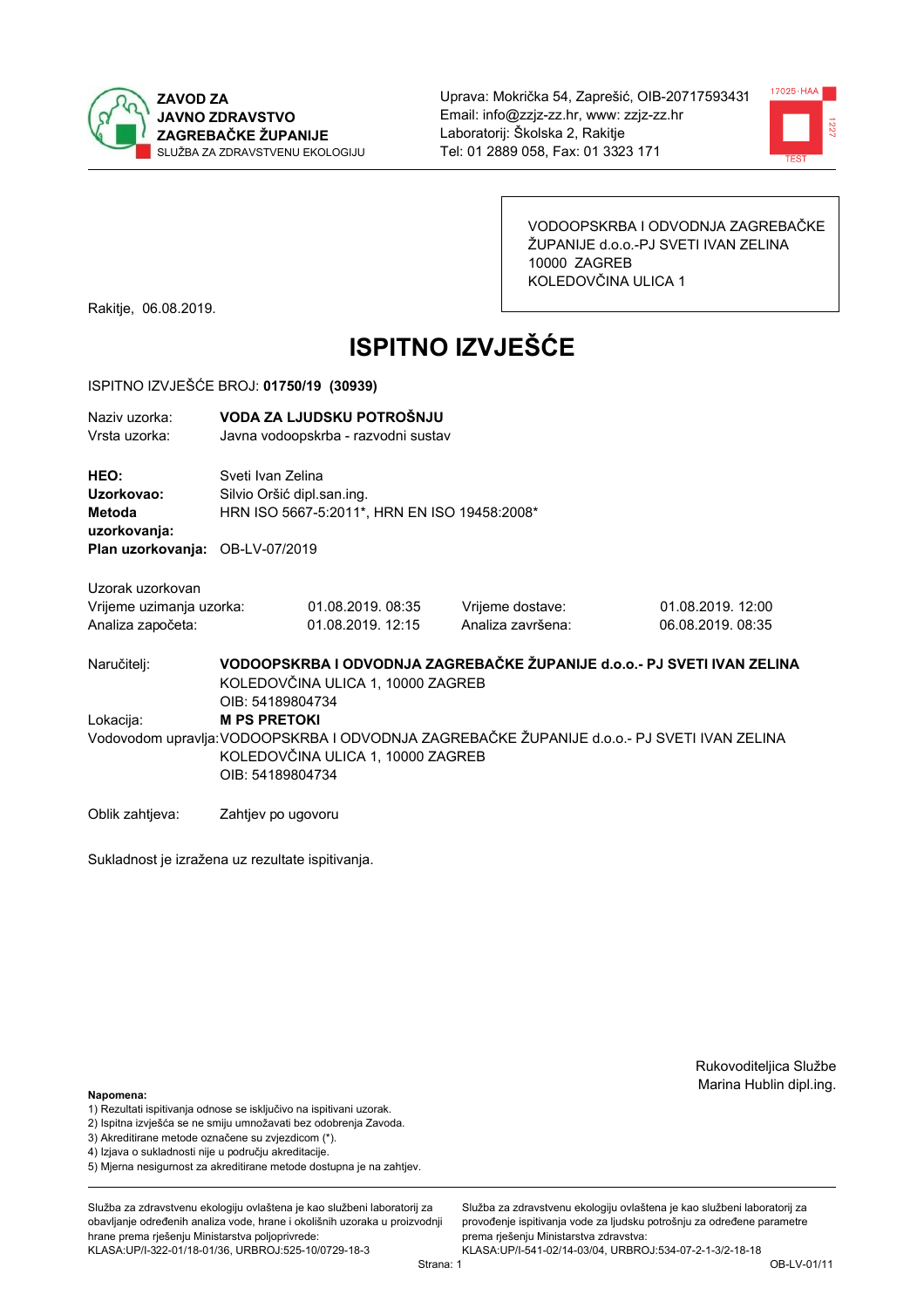



VODOOPSKRBA I ODVODNJA ZAGREBAČKE ŽUPANIJE d.o.o.-PJ SVETI IVAN ZELINA 10000 ZAGREB KOLEDOVČINA ULICA 1

Rakitje, 06.08.2019.

# **ISPITNO IZVJEŠĆE**

### ISPITNO IZVJEŠĆE BROJ: 01750/19 (30939)

| Naziv uzorka:<br>Vrsta uzorka:                                    | VODA ZA LJUDSKU POTROŠNJU<br>Javna vodoopskrba - razvodni sustav                                                                                                            |                                        |                                       |                                        |  |  |
|-------------------------------------------------------------------|-----------------------------------------------------------------------------------------------------------------------------------------------------------------------------|----------------------------------------|---------------------------------------|----------------------------------------|--|--|
| HEO:<br>Uzorkovao:<br>Metoda<br>uzorkovanja:                      | Sveti Ivan Zelina<br>Silvio Oršić dipl.san.ing.<br>HRN ISO 5667-5:2011*, HRN EN ISO 19458:2008*                                                                             |                                        |                                       |                                        |  |  |
| Plan uzorkovanja: OB-LV-07/2019                                   |                                                                                                                                                                             |                                        |                                       |                                        |  |  |
| Uzorak uzorkovan<br>Vrijeme uzimanja uzorka:<br>Analiza započeta: |                                                                                                                                                                             | 01.08.2019. 08:35<br>01.08.2019. 12:15 | Vrijeme dostave:<br>Analiza završena: | 01.08.2019. 12:00<br>06.08.2019. 08:35 |  |  |
| Naručitelj:                                                       | VODOOPSKRBA I ODVODNJA ZAGREBAČKE ŽUPANIJE d.o.o.- PJ SVETI IVAN ZELINA<br>KOLEDOVČINA ULICA 1, 10000 ZAGREB<br>OIB: 54189804734                                            |                                        |                                       |                                        |  |  |
| Lokacija:                                                         | <b>M PS PRETOKI</b><br>Vodovodom upravlja: VODOOPSKRBA I ODVODNJA ZAGREBAČKE ŽUPANIJE d.o.o.- PJ SVETI IVAN ZELINA<br>KOLEDOVČINA ULICA 1, 10000 ZAGREB<br>OIB: 54189804734 |                                        |                                       |                                        |  |  |

Sukladnost je izražena uz rezultate ispitivanja.

Zahtjev po ugovoru

Rukovoditeljica Službe Marina Hublin dipl.ing.

#### Napomena:

Oblik zahtjeva:

- 1) Rezultati ispitivanja odnose se isključivo na ispitivani uzorak.
- 2) Ispitna izvješća se ne smiju umnožavati bez odobrenja Zavoda.
- 3) Akreditirane metode označene su zvjezdicom (\*).
- 4) Iziava o sukladnosti nije u područiu akreditacije.
- 5) Mjerna nesigurnost za akreditirane metode dostupna je na zahtjev.

Služba za zdravstvenu ekologiju ovlaštena je kao službeni laboratorij za obavlianie određenih analiza vode, hrane i okolišnih uzoraka u proizvodniji hrane prema rješenju Ministarstva poljoprivrede: KLASA:UP/I-322-01/18-01/36, URBROJ:525-10/0729-18-3

Služba za zdravstvenu ekologiju ovlaštena je kao službeni laboratorij za provođenje ispitivanja vode za ljudsku potrošnju za određene parametre prema rješenju Ministarstva zdravstva: KLASA:UP/I-541-02/14-03/04, URBROJ:534-07-2-1-3/2-18-18

Strana: 1